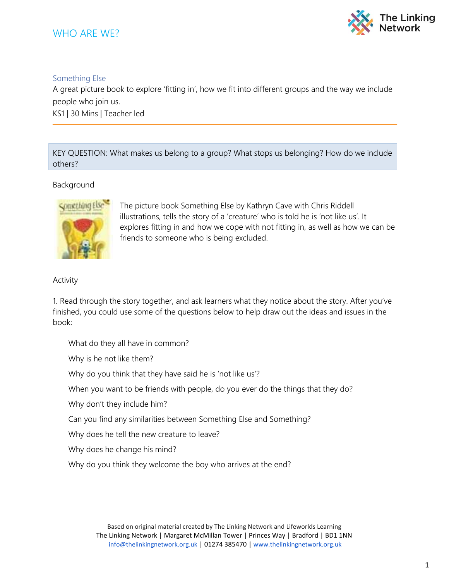## WHO ARE WE?



## Something Else

A great picture book to explore 'fitting in', how we fit into different groups and the way we include people who join us.

KS1 | 30 Mins | Teacher led

KEY QUESTION: What makes us belong to a group? What stops us belonging? How do we include others?

## Background



The picture book Something Else by Kathryn Cave with Chris Riddell illustrations, tells the story of a 'creature' who is told he is 'not like us'. It explores fitting in and how we cope with not fitting in, as well as how we can be friends to someone who is being excluded.

## Activity

1. Read through the story together, and ask learners what they notice about the story. After you've finished, you could use some of the questions below to help draw out the ideas and issues in the book:

What do they all have in common?

Why is he not like them?

Why do you think that they have said he is 'not like us'?

When you want to be friends with people, do you ever do the things that they do?

Why don't they include him?

Can you find any similarities between Something Else and Something?

Why does he tell the new creature to leave?

Why does he change his mind?

Why do you think they welcome the boy who arrives at the end?